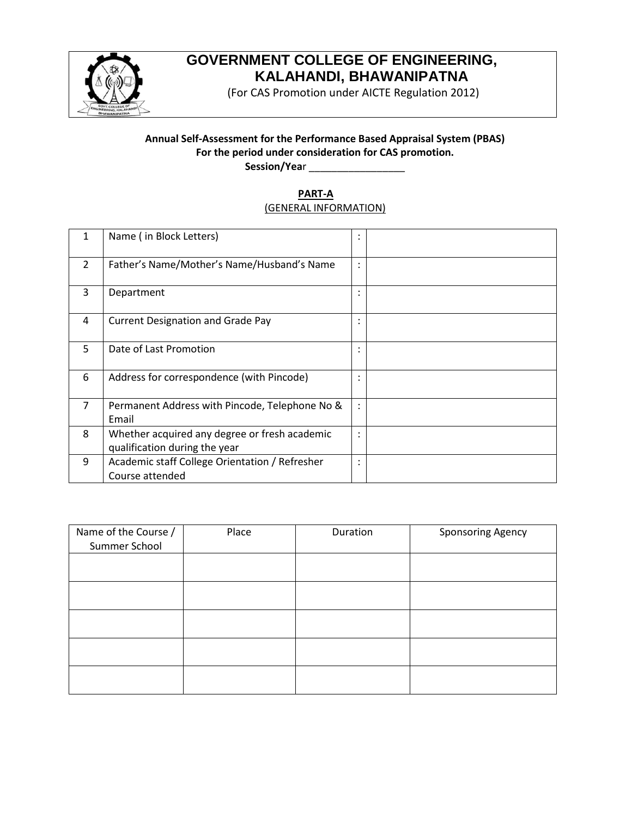

# **GOVERNMENT COLLEGE OF ENGINEERING, KALAHANDI, BHAWANIPATNA**

(For CAS Promotion under AICTE Regulation 2012)

# **Annual Self-Assessment for the Performance Based Appraisal System (PBAS) For the period under consideration for CAS promotion.**

**Session/Yea**r \_\_\_\_\_\_\_\_\_\_\_\_\_\_\_\_\_

## **PART-A** (GENERAL INFORMATION)

| 1              | Name (in Block Letters)                                                        | ٠<br>$\cdot$   |  |
|----------------|--------------------------------------------------------------------------------|----------------|--|
| $\mathcal{P}$  | Father's Name/Mother's Name/Husband's Name                                     | ٠<br>$\cdot$   |  |
| 3              | Department                                                                     | ٠<br>$\bullet$ |  |
| 4              | <b>Current Designation and Grade Pay</b>                                       | ٠<br>$\cdot$   |  |
| 5.             | Date of Last Promotion                                                         | ٠<br>$\cdot$   |  |
| 6              | Address for correspondence (with Pincode)                                      | ٠<br>$\cdot$   |  |
| $\overline{7}$ | Permanent Address with Pincode, Telephone No &<br>Email                        | $\ddot{\cdot}$ |  |
| 8              | Whether acquired any degree or fresh academic<br>qualification during the year | ٠<br>$\cdot$   |  |
| 9              | Academic staff College Orientation / Refresher<br>Course attended              | ٠<br>$\cdot$   |  |

| Name of the Course / | Place | Duration | <b>Sponsoring Agency</b> |
|----------------------|-------|----------|--------------------------|
| Summer School        |       |          |                          |
|                      |       |          |                          |
|                      |       |          |                          |
|                      |       |          |                          |
|                      |       |          |                          |
|                      |       |          |                          |
|                      |       |          |                          |
|                      |       |          |                          |
|                      |       |          |                          |
|                      |       |          |                          |
|                      |       |          |                          |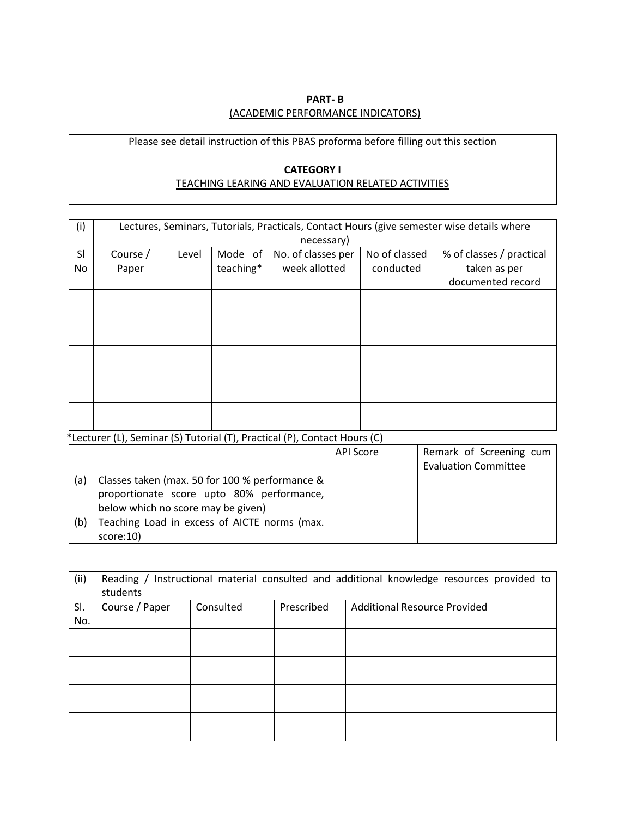#### **PART- B** (ACADEMIC PERFORMANCE INDICATORS)

# Please see detail instruction of this PBAS proforma before filling out this section

#### **CATEGORY I** TEACHING LEARING AND EVALUATION RELATED ACTIVITIES

| (i) | Lectures, Seminars, Tutorials, Practicals, Contact Hours (give semester wise details where |       |           |                    |               |                          |  |  |  |  |  |  |  |
|-----|--------------------------------------------------------------------------------------------|-------|-----------|--------------------|---------------|--------------------------|--|--|--|--|--|--|--|
|     | necessary)                                                                                 |       |           |                    |               |                          |  |  |  |  |  |  |  |
| SI  | Course /                                                                                   | Level | Mode of   | No. of classes per | No of classed | % of classes / practical |  |  |  |  |  |  |  |
| No  | Paper                                                                                      |       | teaching* | week allotted      | conducted     | taken as per             |  |  |  |  |  |  |  |
|     |                                                                                            |       |           |                    |               | documented record        |  |  |  |  |  |  |  |
|     |                                                                                            |       |           |                    |               |                          |  |  |  |  |  |  |  |
|     |                                                                                            |       |           |                    |               |                          |  |  |  |  |  |  |  |
|     |                                                                                            |       |           |                    |               |                          |  |  |  |  |  |  |  |
|     |                                                                                            |       |           |                    |               |                          |  |  |  |  |  |  |  |
|     |                                                                                            |       |           |                    |               |                          |  |  |  |  |  |  |  |
|     |                                                                                            |       |           |                    |               |                          |  |  |  |  |  |  |  |
|     |                                                                                            |       |           |                    |               |                          |  |  |  |  |  |  |  |
|     |                                                                                            |       |           |                    |               |                          |  |  |  |  |  |  |  |
|     |                                                                                            |       |           |                    |               |                          |  |  |  |  |  |  |  |
|     |                                                                                            |       |           |                    |               |                          |  |  |  |  |  |  |  |

\*Lecturer (L), Seminar (S) Tutorial (T), Practical (P), Contact Hours (C)

|     |                                                                                                                                   | <b>API Score</b> | Remark of Screening cum     |
|-----|-----------------------------------------------------------------------------------------------------------------------------------|------------------|-----------------------------|
|     |                                                                                                                                   |                  | <b>Evaluation Committee</b> |
| (a) | Classes taken (max. 50 for 100 % performance &<br>proportionate score upto 80% performance,<br>below which no score may be given) |                  |                             |
| (b) | Teaching Load in excess of AICTE norms (max.<br>score:10)                                                                         |                  |                             |

| (ii) | Reading / Instructional material consulted and additional knowledge resources provided to<br>students |           |            |                              |  |  |  |  |  |  |  |  |
|------|-------------------------------------------------------------------------------------------------------|-----------|------------|------------------------------|--|--|--|--|--|--|--|--|
| SI.  | Course / Paper                                                                                        | Consulted | Prescribed | Additional Resource Provided |  |  |  |  |  |  |  |  |
| No.  |                                                                                                       |           |            |                              |  |  |  |  |  |  |  |  |
|      |                                                                                                       |           |            |                              |  |  |  |  |  |  |  |  |
|      |                                                                                                       |           |            |                              |  |  |  |  |  |  |  |  |
|      |                                                                                                       |           |            |                              |  |  |  |  |  |  |  |  |
|      |                                                                                                       |           |            |                              |  |  |  |  |  |  |  |  |
|      |                                                                                                       |           |            |                              |  |  |  |  |  |  |  |  |
|      |                                                                                                       |           |            |                              |  |  |  |  |  |  |  |  |
|      |                                                                                                       |           |            |                              |  |  |  |  |  |  |  |  |
|      |                                                                                                       |           |            |                              |  |  |  |  |  |  |  |  |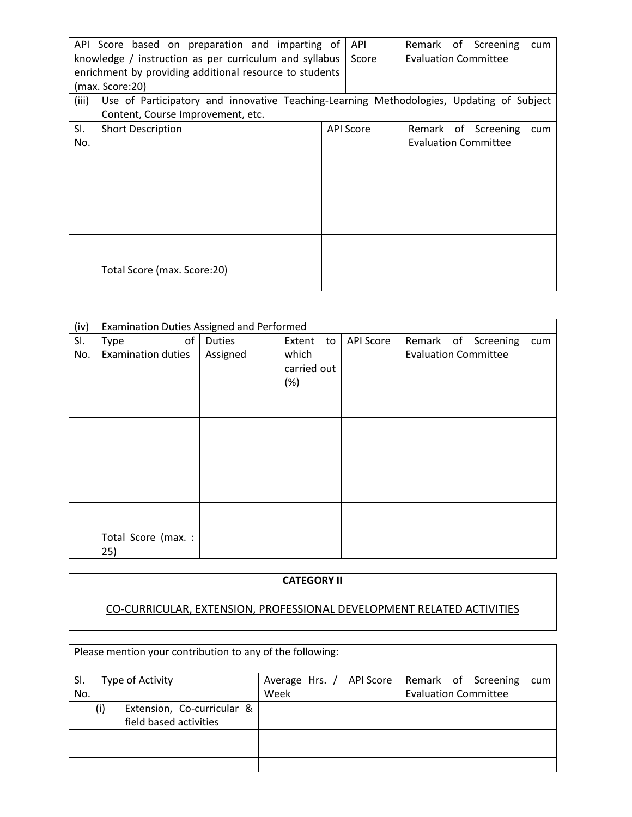|       | API Score based on preparation and imparting of                                          | API              |                             | Remark of Screening         | cum |
|-------|------------------------------------------------------------------------------------------|------------------|-----------------------------|-----------------------------|-----|
|       | knowledge / instruction as per curriculum and syllabus                                   | Score            | <b>Evaluation Committee</b> |                             |     |
|       | enrichment by providing additional resource to students                                  |                  |                             |                             |     |
|       | (max. Score:20)                                                                          |                  |                             |                             |     |
| (iii) | Use of Participatory and innovative Teaching-Learning Methodologies, Updating of Subject |                  |                             |                             |     |
|       | Content, Course Improvement, etc.                                                        |                  |                             |                             |     |
| SI.   | <b>Short Description</b>                                                                 | <b>API Score</b> |                             | Remark of Screening         | cum |
| No.   |                                                                                          |                  |                             | <b>Evaluation Committee</b> |     |
|       |                                                                                          |                  |                             |                             |     |
|       |                                                                                          |                  |                             |                             |     |
|       |                                                                                          |                  |                             |                             |     |
|       |                                                                                          |                  |                             |                             |     |
|       |                                                                                          |                  |                             |                             |     |
|       |                                                                                          |                  |                             |                             |     |
|       |                                                                                          |                  |                             |                             |     |
|       |                                                                                          |                  |                             |                             |     |
|       | Total Score (max. Score:20)                                                              |                  |                             |                             |     |
|       |                                                                                          |                  |                             |                             |     |

| (iv) | Examination Duties Assigned and Performed |          |              |           |                             |  |  |  |  |  |  |
|------|-------------------------------------------|----------|--------------|-----------|-----------------------------|--|--|--|--|--|--|
| SI.  | оf<br>Type                                | Duties   | Extent<br>to | API Score | Remark of Screening<br>cum  |  |  |  |  |  |  |
| No.  | <b>Examination duties</b>                 | Assigned | which        |           | <b>Evaluation Committee</b> |  |  |  |  |  |  |
|      |                                           |          | carried out  |           |                             |  |  |  |  |  |  |
|      |                                           |          | (%)          |           |                             |  |  |  |  |  |  |
|      |                                           |          |              |           |                             |  |  |  |  |  |  |
|      |                                           |          |              |           |                             |  |  |  |  |  |  |
|      |                                           |          |              |           |                             |  |  |  |  |  |  |
|      |                                           |          |              |           |                             |  |  |  |  |  |  |
|      |                                           |          |              |           |                             |  |  |  |  |  |  |
|      |                                           |          |              |           |                             |  |  |  |  |  |  |
|      |                                           |          |              |           |                             |  |  |  |  |  |  |
|      |                                           |          |              |           |                             |  |  |  |  |  |  |
|      |                                           |          |              |           |                             |  |  |  |  |  |  |
|      |                                           |          |              |           |                             |  |  |  |  |  |  |
|      | Total Score (max. :                       |          |              |           |                             |  |  |  |  |  |  |
|      | 25)                                       |          |              |           |                             |  |  |  |  |  |  |

## **CATEGORY II**

# CO-CURRICULAR, EXTENSION, PROFESSIONAL DEVELOPMENT RELATED ACTIVITIES

|     | Please mention your contribution to any of the following: |                |           |                             |  |  |  |  |  |  |  |  |
|-----|-----------------------------------------------------------|----------------|-----------|-----------------------------|--|--|--|--|--|--|--|--|
| SI. | Type of Activity                                          | Average Hrs. / | API Score | Remark of Screening<br>cum  |  |  |  |  |  |  |  |  |
| No. |                                                           | Week           |           | <b>Evaluation Committee</b> |  |  |  |  |  |  |  |  |
|     | Extension, Co-curricular &<br>field based activities      |                |           |                             |  |  |  |  |  |  |  |  |
|     |                                                           |                |           |                             |  |  |  |  |  |  |  |  |
|     |                                                           |                |           |                             |  |  |  |  |  |  |  |  |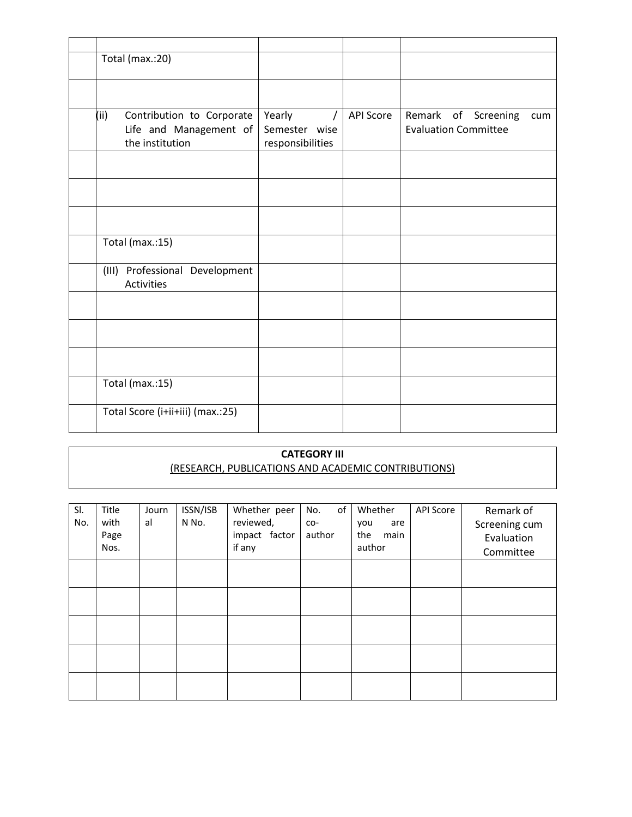| Total (max.:20)                                     |                  |                  |                             |
|-----------------------------------------------------|------------------|------------------|-----------------------------|
|                                                     |                  |                  |                             |
|                                                     |                  |                  |                             |
| (i)<br>Contribution to Corporate                    | Yearly           | <b>API Score</b> | Remark of Screening<br>cum  |
| Life and Management of                              | Semester wise    |                  | <b>Evaluation Committee</b> |
| the institution                                     | responsibilities |                  |                             |
|                                                     |                  |                  |                             |
|                                                     |                  |                  |                             |
|                                                     |                  |                  |                             |
|                                                     |                  |                  |                             |
|                                                     |                  |                  |                             |
| Total (max.:15)                                     |                  |                  |                             |
| (III) Professional Development<br><b>Activities</b> |                  |                  |                             |
|                                                     |                  |                  |                             |
|                                                     |                  |                  |                             |
|                                                     |                  |                  |                             |
|                                                     |                  |                  |                             |
|                                                     |                  |                  |                             |
| Total (max.:15)                                     |                  |                  |                             |
| Total Score (i+ii+iii) (max.:25)                    |                  |                  |                             |

## **CATEGORY III** (RESEARCH, PUBLICATIONS AND ACADEMIC CONTRIBUTIONS)

| SI.<br>No. | Title<br>with<br>Page<br>Nos. | Journ<br>al | ISSN/ISB<br>N No. | Whether peer<br>reviewed,<br>impact factor<br>if any | of<br>No.<br>CO-<br>author | Whether<br>you<br>are<br>the<br>main<br>author | <b>API Score</b> | Remark of<br>Screening cum<br>Evaluation<br>Committee |
|------------|-------------------------------|-------------|-------------------|------------------------------------------------------|----------------------------|------------------------------------------------|------------------|-------------------------------------------------------|
|            |                               |             |                   |                                                      |                            |                                                |                  |                                                       |
|            |                               |             |                   |                                                      |                            |                                                |                  |                                                       |
|            |                               |             |                   |                                                      |                            |                                                |                  |                                                       |
|            |                               |             |                   |                                                      |                            |                                                |                  |                                                       |
|            |                               |             |                   |                                                      |                            |                                                |                  |                                                       |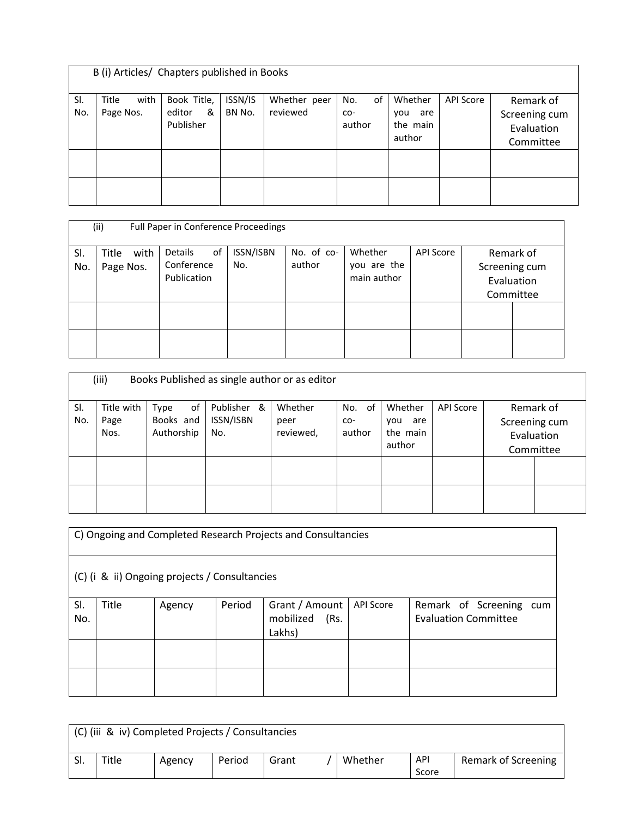|            | B (i) Articles/ Chapters published in Books |                                         |                   |                          |                            |                                             |           |                                                       |  |  |  |  |
|------------|---------------------------------------------|-----------------------------------------|-------------------|--------------------------|----------------------------|---------------------------------------------|-----------|-------------------------------------------------------|--|--|--|--|
| SI.<br>No. | with<br>Title<br>Page Nos.                  | Book Title,<br>editor<br>&<br>Publisher | ISSN/IS<br>BN No. | Whether peer<br>reviewed | of<br>No.<br>CO-<br>author | Whether<br>are<br>you<br>the main<br>author | API Score | Remark of<br>Screening cum<br>Evaluation<br>Committee |  |  |  |  |
|            |                                             |                                         |                   |                          |                            |                                             |           |                                                       |  |  |  |  |

|            | (ii)<br>Full Paper in Conference Proceedings |                                            |                  |                      |                                       |                  |  |                                                       |  |  |  |  |  |
|------------|----------------------------------------------|--------------------------------------------|------------------|----------------------|---------------------------------------|------------------|--|-------------------------------------------------------|--|--|--|--|--|
| SI.<br>No. | with<br>Title<br>Page Nos.                   | οf<br>Details<br>Conference<br>Publication | ISSN/ISBN<br>No. | No. of co-<br>author | Whether<br>you are the<br>main author | <b>API Score</b> |  | Remark of<br>Screening cum<br>Evaluation<br>Committee |  |  |  |  |  |
|            |                                              |                                            |                  |                      |                                       |                  |  |                                                       |  |  |  |  |  |

|            | (iii)                      |                                       | Books Published as single author or as editor |                              |                         |                                             |                  |               |                                      |
|------------|----------------------------|---------------------------------------|-----------------------------------------------|------------------------------|-------------------------|---------------------------------------------|------------------|---------------|--------------------------------------|
| SI.<br>No. | Title with<br>Page<br>Nos. | of<br>Type<br>Books and<br>Authorship | Publisher &<br>ISSN/ISBN<br>No.               | Whether<br>peer<br>reviewed, | No. of<br>CO-<br>author | Whether<br>are<br>vou<br>the main<br>author | <b>API Score</b> | Screening cum | Remark of<br>Evaluation<br>Committee |
|            |                            |                                       |                                               |                              |                         |                                             |                  |               |                                      |
|            |                            |                                       |                                               |                              |                         |                                             |                  |               |                                      |

| C) Ongoing and Completed Research Projects and Consultancies |       |        |        |                                               |                  |                                                        |  |  |  |
|--------------------------------------------------------------|-------|--------|--------|-----------------------------------------------|------------------|--------------------------------------------------------|--|--|--|
| (C) (i & ii) Ongoing projects / Consultancies                |       |        |        |                                               |                  |                                                        |  |  |  |
| SI.<br>No.                                                   | Title | Agency | Period | Grant / Amount<br>mobilized<br>(Rs.<br>Lakhs) | <b>API Score</b> | Remark of Screening cum<br><b>Evaluation Committee</b> |  |  |  |
|                                                              |       |        |        |                                               |                  |                                                        |  |  |  |
|                                                              |       |        |        |                                               |                  |                                                        |  |  |  |

| (C) (iii & iv) Completed Projects / Consultancies |       |        |        |       |  |         |              |                     |
|---------------------------------------------------|-------|--------|--------|-------|--|---------|--------------|---------------------|
| SI.                                               | Title | Agency | Period | Grant |  | Whether | API<br>Score | Remark of Screening |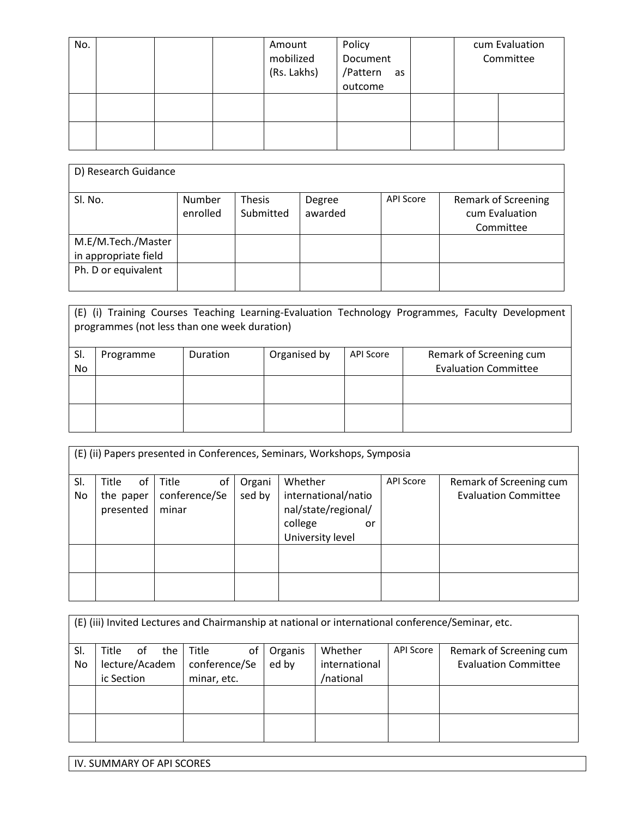| No. |  | Amount<br>mobilized<br>(Rs. Lakhs) | Policy<br>Document<br>/Pattern<br>as<br>outcome |  | cum Evaluation<br>Committee |
|-----|--|------------------------------------|-------------------------------------------------|--|-----------------------------|
|     |  |                                    |                                                 |  |                             |
|     |  |                                    |                                                 |  |                             |

| D) Research Guidance                                              |                    |                            |                   |                  |                                                           |  |  |  |
|-------------------------------------------------------------------|--------------------|----------------------------|-------------------|------------------|-----------------------------------------------------------|--|--|--|
| Sl. No.                                                           | Number<br>enrolled | <b>Thesis</b><br>Submitted | Degree<br>awarded | <b>API Score</b> | <b>Remark of Screening</b><br>cum Evaluation<br>Committee |  |  |  |
| M.E/M.Tech./Master<br>in appropriate field<br>Ph. D or equivalent |                    |                            |                   |                  |                                                           |  |  |  |
|                                                                   |                    |                            |                   |                  |                                                           |  |  |  |

|     | programmes (not less than one week duration) |          |              |                  | (E) (i) Training Courses Teaching Learning-Evaluation Technology Programmes, Faculty Development |
|-----|----------------------------------------------|----------|--------------|------------------|--------------------------------------------------------------------------------------------------|
| SI. | Programme                                    | Duration | Organised by | <b>API Score</b> | Remark of Screening cum                                                                          |
| No  |                                              |          |              |                  | <b>Evaluation Committee</b>                                                                      |
|     |                                              |          |              |                  |                                                                                                  |
|     |                                              |          |              |                  |                                                                                                  |

|           | (E) (ii) Papers presented in Conferences, Seminars, Workshops, Symposia |                                       |                  |                                                                                            |                  |                                                        |  |  |  |  |  |
|-----------|-------------------------------------------------------------------------|---------------------------------------|------------------|--------------------------------------------------------------------------------------------|------------------|--------------------------------------------------------|--|--|--|--|--|
| SI.<br>No | <b>Title</b><br>0f<br>the paper<br>presented                            | Title<br>оf<br>conference/Se<br>minar | Organi<br>sed by | Whether<br>international/natio<br>nal/state/regional/<br>college<br>or<br>University level | <b>API Score</b> | Remark of Screening cum<br><b>Evaluation Committee</b> |  |  |  |  |  |
|           |                                                                         |                                       |                  |                                                                                            |                  |                                                        |  |  |  |  |  |

|     | (E) (iii) Invited Lectures and Chairmanship at national or international conference/Seminar, etc. |    |       |           |               |         |                             |                  |                         |
|-----|---------------------------------------------------------------------------------------------------|----|-------|-----------|---------------|---------|-----------------------------|------------------|-------------------------|
| SI. | Title                                                                                             | 0t | the I | Title     | οt            | Organis | Whether                     | <b>API Score</b> | Remark of Screening cum |
| No  | lecture/Academ<br>conference/Se                                                                   |    |       | ed by     | international |         | <b>Evaluation Committee</b> |                  |                         |
|     | ic Section<br>minar, etc.                                                                         |    |       | /national |               |         |                             |                  |                         |
|     |                                                                                                   |    |       |           |               |         |                             |                  |                         |
|     |                                                                                                   |    |       |           |               |         |                             |                  |                         |
|     |                                                                                                   |    |       |           |               |         |                             |                  |                         |
|     |                                                                                                   |    |       |           |               |         |                             |                  |                         |

IV. SUMMARY OF API SCORES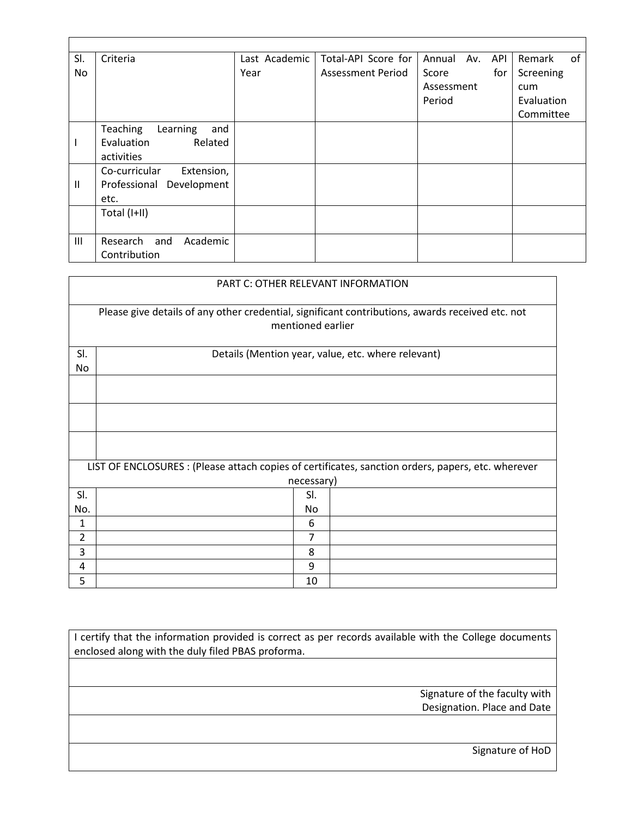| SI.           | Criteria                           | Last Academic | Total-API Score for      | API<br>Annual<br>Av. | of<br>Remark |
|---------------|------------------------------------|---------------|--------------------------|----------------------|--------------|
| No            |                                    | Year          | <b>Assessment Period</b> | Score<br>for         | Screening    |
|               |                                    |               |                          | Assessment           | cum          |
|               |                                    |               |                          | Period               | Evaluation   |
|               |                                    |               |                          |                      | Committee    |
|               | <b>Teaching</b><br>and<br>Learning |               |                          |                      |              |
|               | Evaluation<br>Related              |               |                          |                      |              |
|               | activities                         |               |                          |                      |              |
|               | Co-curricular<br>Extension,        |               |                          |                      |              |
| $\mathbf{II}$ | Development<br>Professional        |               |                          |                      |              |
|               | etc.                               |               |                          |                      |              |
|               | Total (I+II)                       |               |                          |                      |              |
|               |                                    |               |                          |                      |              |
| Ш             | Academic<br>Research and           |               |                          |                      |              |
|               | Contribution                       |               |                          |                      |              |

|           | PART C: OTHER RELEVANT INFORMATION                                                                                    |  |  |  |  |  |  |
|-----------|-----------------------------------------------------------------------------------------------------------------------|--|--|--|--|--|--|
|           | Please give details of any other credential, significant contributions, awards received etc. not<br>mentioned earlier |  |  |  |  |  |  |
| SI.<br>No | Details (Mention year, value, etc. where relevant)                                                                    |  |  |  |  |  |  |
|           |                                                                                                                       |  |  |  |  |  |  |
|           |                                                                                                                       |  |  |  |  |  |  |
|           |                                                                                                                       |  |  |  |  |  |  |
|           | LIST OF ENCLOSURES : (Please attach copies of certificates, sanction orders, papers, etc. wherever                    |  |  |  |  |  |  |
|           | necessary)                                                                                                            |  |  |  |  |  |  |
| SI.       | SI.                                                                                                                   |  |  |  |  |  |  |
| No.       | No                                                                                                                    |  |  |  |  |  |  |
| 1         | 6                                                                                                                     |  |  |  |  |  |  |
| 2         | 7                                                                                                                     |  |  |  |  |  |  |
| 3         | 8                                                                                                                     |  |  |  |  |  |  |
| 4         | 9                                                                                                                     |  |  |  |  |  |  |
| 5         | 10                                                                                                                    |  |  |  |  |  |  |

I certify that the information provided is correct as per records available with the College documents enclosed along with the duly filed PBAS proforma.

> Signature of the faculty with Designation. Place and Date

> > Signature of HoD